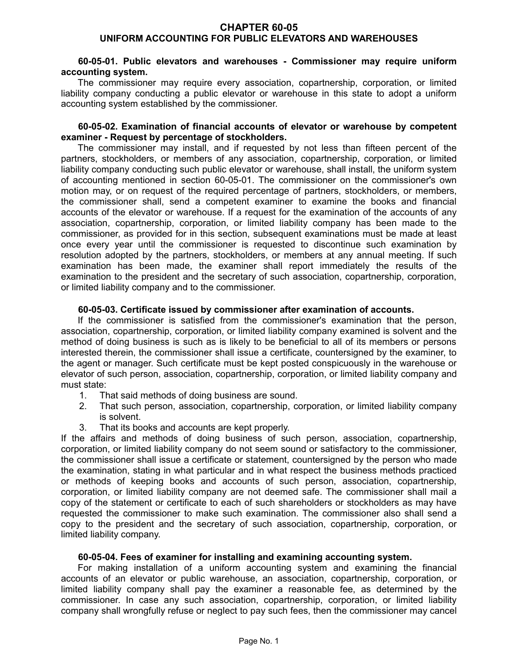## **CHAPTER 60-05 UNIFORM ACCOUNTING FOR PUBLIC ELEVATORS AND WAREHOUSES**

### **60-05-01. Public elevators and warehouses - Commissioner may require uniform accounting system.**

The commissioner may require every association, copartnership, corporation, or limited liability company conducting a public elevator or warehouse in this state to adopt a uniform accounting system established by the commissioner.

#### **60-05-02. Examination of financial accounts of elevator or warehouse by competent examiner - Request by percentage of stockholders.**

The commissioner may install, and if requested by not less than fifteen percent of the partners, stockholders, or members of any association, copartnership, corporation, or limited liability company conducting such public elevator or warehouse, shall install, the uniform system of accounting mentioned in section 60-05-01. The commissioner on the commissioner's own motion may, or on request of the required percentage of partners, stockholders, or members, the commissioner shall, send a competent examiner to examine the books and financial accounts of the elevator or warehouse. If a request for the examination of the accounts of any association, copartnership, corporation, or limited liability company has been made to the commissioner, as provided for in this section, subsequent examinations must be made at least once every year until the commissioner is requested to discontinue such examination by resolution adopted by the partners, stockholders, or members at any annual meeting. If such examination has been made, the examiner shall report immediately the results of the examination to the president and the secretary of such association, copartnership, corporation, or limited liability company and to the commissioner.

## **60-05-03. Certificate issued by commissioner after examination of accounts.**

If the commissioner is satisfied from the commissioner's examination that the person, association, copartnership, corporation, or limited liability company examined is solvent and the method of doing business is such as is likely to be beneficial to all of its members or persons interested therein, the commissioner shall issue a certificate, countersigned by the examiner, to the agent or manager. Such certificate must be kept posted conspicuously in the warehouse or elevator of such person, association, copartnership, corporation, or limited liability company and must state:

- 1. That said methods of doing business are sound.
- 2. That such person, association, copartnership, corporation, or limited liability company is solvent.
- 3. That its books and accounts are kept properly.

If the affairs and methods of doing business of such person, association, copartnership, corporation, or limited liability company do not seem sound or satisfactory to the commissioner, the commissioner shall issue a certificate or statement, countersigned by the person who made the examination, stating in what particular and in what respect the business methods practiced or methods of keeping books and accounts of such person, association, copartnership, corporation, or limited liability company are not deemed safe. The commissioner shall mail a copy of the statement or certificate to each of such shareholders or stockholders as may have requested the commissioner to make such examination. The commissioner also shall send a copy to the president and the secretary of such association, copartnership, corporation, or limited liability company.

#### **60-05-04. Fees of examiner for installing and examining accounting system.**

For making installation of a uniform accounting system and examining the financial accounts of an elevator or public warehouse, an association, copartnership, corporation, or limited liability company shall pay the examiner a reasonable fee, as determined by the commissioner. In case any such association, copartnership, corporation, or limited liability company shall wrongfully refuse or neglect to pay such fees, then the commissioner may cancel